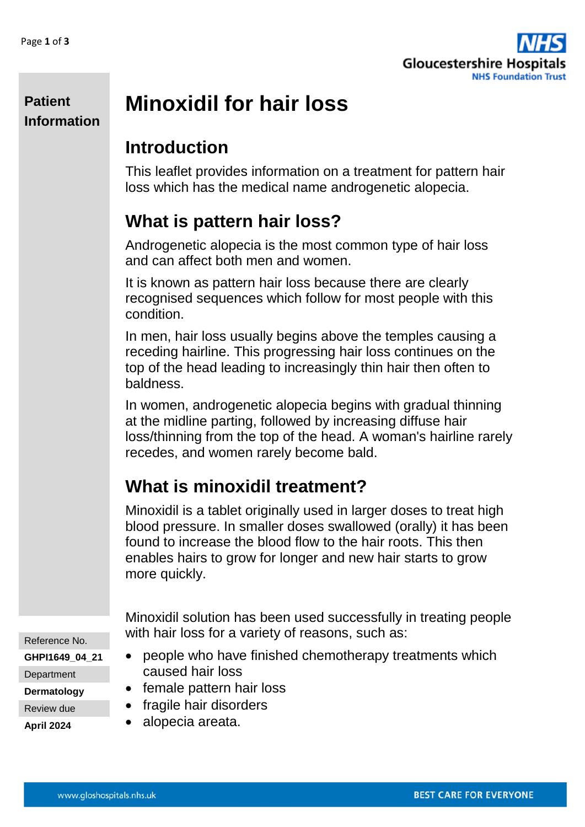

#### **Patient Information**

# **Minoxidil for hair loss**

#### **Introduction**

This leaflet provides information on a treatment for pattern hair loss which has the medical name androgenetic alopecia.

# **What is pattern hair loss?**

Androgenetic alopecia is the most common type of hair loss and can affect both men and women.

It is known as pattern hair loss because there are clearly recognised sequences which follow for most people with this condition.

In men, hair loss usually begins above the temples causing a receding hairline. This progressing hair loss continues on the top of the head leading to increasingly thin hair then often to baldness.

In women, androgenetic alopecia begins with gradual thinning at the midline parting, followed by increasing diffuse hair loss/thinning from the top of the head. A woman's hairline rarely recedes, and women rarely become bald.

# **What is minoxidil treatment?**

Minoxidil is a tablet originally used in larger doses to treat high blood pressure. In smaller doses swallowed (orally) it has been found to increase the blood flow to the hair roots. This then enables hairs to grow for longer and new hair starts to grow more quickly.

Reference No. **GHPI1649\_04\_21 Department Dermatology** Review due

Minoxidil solution has been used successfully in treating people with hair loss for a variety of reasons, such as:

- people who have finished chemotherapy treatments which caused hair loss
- female pattern hair loss
- fragile hair disorders
- alopecia areata.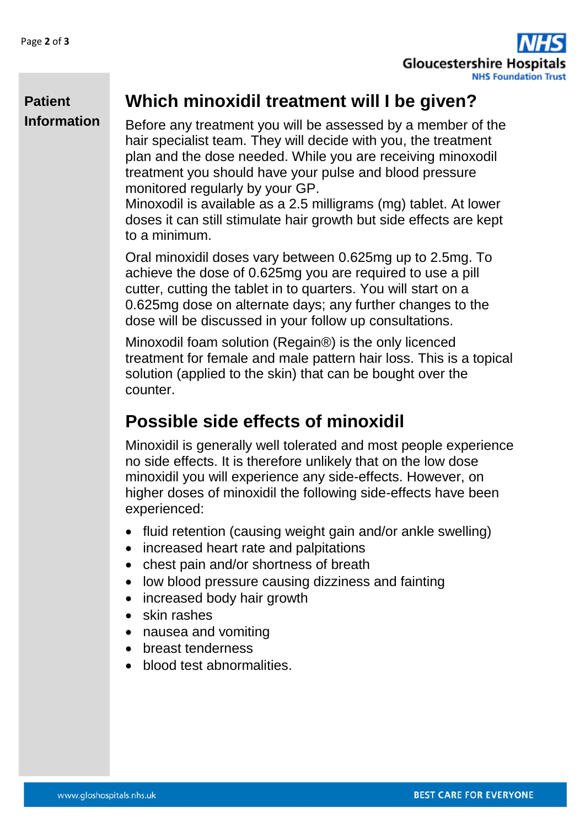

#### **Which minoxidil treatment will I be given?**

**Patient Information**

Before any treatment you will be assessed by a member of the hair specialist team. They will decide with you, the treatment plan and the dose needed. While you are receiving minoxodil treatment you should have your pulse and blood pressure monitored regularly by your GP.

Minoxodil is available as a 2.5 milligrams (mg) tablet. At lower doses it can still stimulate hair growth but side effects are kept to a minimum.

Oral minoxidil doses vary between 0.625mg up to 2.5mg. To achieve the dose of 0.625mg you are required to use a pill cutter, cutting the tablet in to quarters. You will start on a 0.625mg dose on alternate days; any further changes to the dose will be discussed in your follow up consultations.

Minoxodil foam solution (Regain®) is the only licenced treatment for female and male pattern hair loss. This is a topical solution (applied to the skin) that can be bought over the counter.

## **Possible side effects of minoxidil**

Minoxidil is generally well tolerated and most people experience no side effects. It is therefore unlikely that on the low dose minoxidil you will experience any side-effects. However, on higher doses of minoxidil the following side-effects have been experienced:

- fluid retention (causing weight gain and/or ankle swelling)
- increased heart rate and palpitations
- chest pain and/or shortness of breath
- low blood pressure causing dizziness and fainting
- increased body hair growth
- skin rashes
- nausea and vomiting
- breast tenderness
- blood test abnormalities.